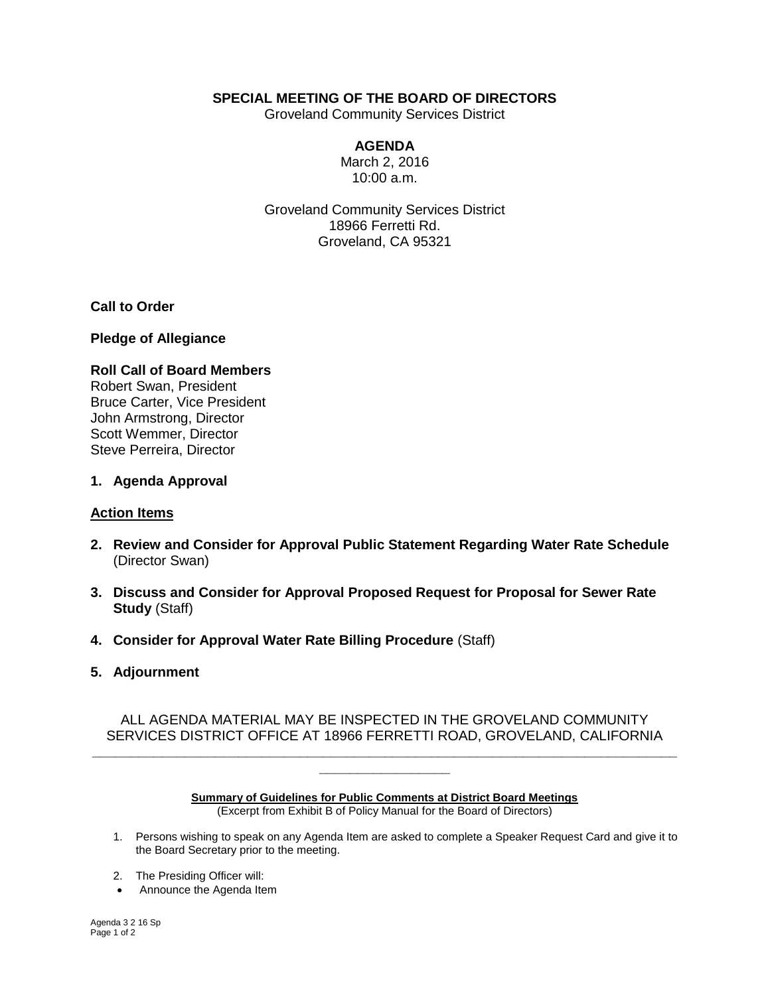# **SPECIAL MEETING OF THE BOARD OF DIRECTORS**

Groveland Community Services District

## **AGENDA**

March 2, 2016 10:00 a.m.

Groveland Community Services District 18966 Ferretti Rd. Groveland, CA 95321

**Call to Order**

#### **Pledge of Allegiance**

## **Roll Call of Board Members** Robert Swan, President Bruce Carter, Vice President John Armstrong, Director Scott Wemmer, Director Steve Perreira, Director

#### **1. Agenda Approval**

## **Action Items**

- **2. Review and Consider for Approval Public Statement Regarding Water Rate Schedule**  (Director Swan)
- **3. Discuss and Consider for Approval Proposed Request for Proposal for Sewer Rate Study** (Staff)
- **4. Consider for Approval Water Rate Billing Procedure** (Staff)
- **5. Adjournment**

ALL AGENDA MATERIAL MAY BE INSPECTED IN THE GROVELAND COMMUNITY SERVICES DISTRICT OFFICE AT 18966 FERRETTI ROAD, GROVELAND, CALIFORNIA **\_\_\_\_\_\_\_\_\_\_\_\_\_\_\_\_\_\_\_\_\_\_\_\_\_\_\_\_\_\_\_\_\_\_\_\_\_\_\_\_\_\_\_\_\_\_\_\_\_\_\_\_\_\_\_\_\_\_\_\_\_\_\_\_\_\_\_\_\_\_\_\_\_\_\_\_**

> **Summary of Guidelines for Public Comments at District Board Meetings** (Excerpt from Exhibit B of Policy Manual for the Board of Directors)

**\_\_\_\_\_\_\_\_\_\_\_\_\_\_\_\_\_**

- 1. Persons wishing to speak on any Agenda Item are asked to complete a Speaker Request Card and give it to the Board Secretary prior to the meeting.
- 2. The Presiding Officer will:
- Announce the Agenda Item